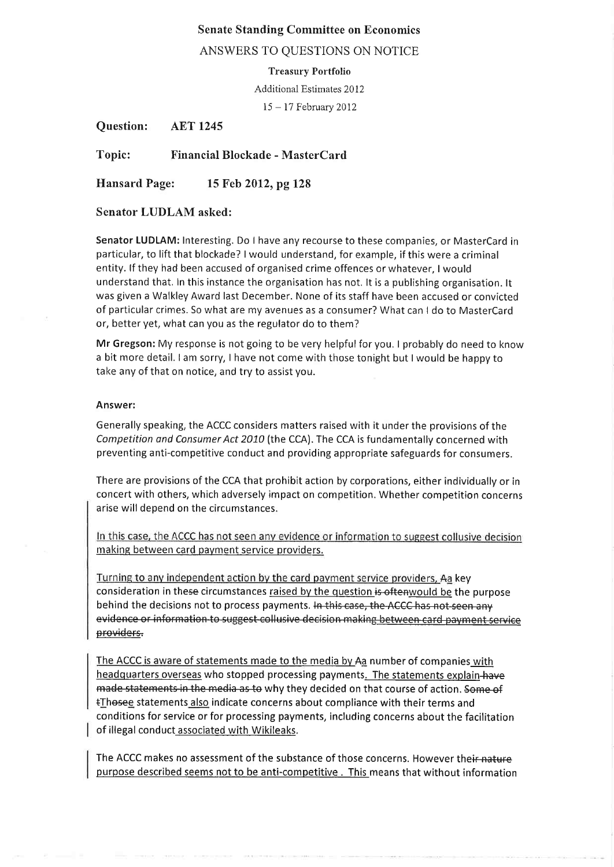## Senate Standing Committee on Economics

## ANSWERS TO QUESTIONS ON NOTICE

Treasury Portfolio

Additional Estimates 2012

<sup>15</sup>- 17 February 20 12

Question: AET 1245

Topic: Financial Blockade - MasterCard

Hansard Page: 15 Feb 2012, pg 128

### Senator LUDLAM asked:

Senator LUDLAM: Interesting. Do I have any recourse to these companies, or MasterCard in particular, to lift that blockade? I would understand, for example, if this were a criminal entity, lf they had been accused of organised crime offences or whatever, I would understand that. In this instance the organisation has not. lt is a publishing organisation. lt was given a Walkley Award last December. None of its staff have been accused or convicted of particular crimes. So what are my avenues as a consumer? What can I do to MasterCard or, better yet, what can you as the regulator do to them?

Mr Gregson: My response is not going to be very helpful for you. I probably do need to know a bit more detail. I am sorry, I have not come with those tonight but I would be happy to take any of that on notice, and try to assist you.

#### Answer:

Generally speaking, the ACCC considers matters raised with it under the provisions of the Competition and Consumer Act 2010 (the CCA). The CCA is fundamentally concerned with preventing anti-competitive conduct and providing appropriate safeguards for consumers.

There are provisions of the CCA that prohibit action by corporations, either individually or in concert with others, which adversely impact on competition. Whether competition concerns arise will depend on the circumstances.

In this case, the ACCC has not seen any evidence or information to suggest collusive decision making between card pavment service providers.

Turning to any independent action by the card payment service providers, Aa key consideration in these circumstances raised by the question is oftenwould be the purpose behind the decisions not to process payments. In this case, the ACCC has not seen any evidence or information to suggest collusive decision making between card payment service providers.

The ACCC is aware of statements made to the media by Aa number of companies with headquarters overseas who stopped processing payments. The statements explain-have made statements in the media as to why they decided on that course of action. Some of tThesee statements also indicate concerns about compliance with their terms and conditions for service or for processing payments, including concerns about the facilitation of illegal conduct associated with Wikileaks.

The ACCC makes no assessment of the substance of those concerns. However their nature purpose described seems not to be anti-competitive . This means that without information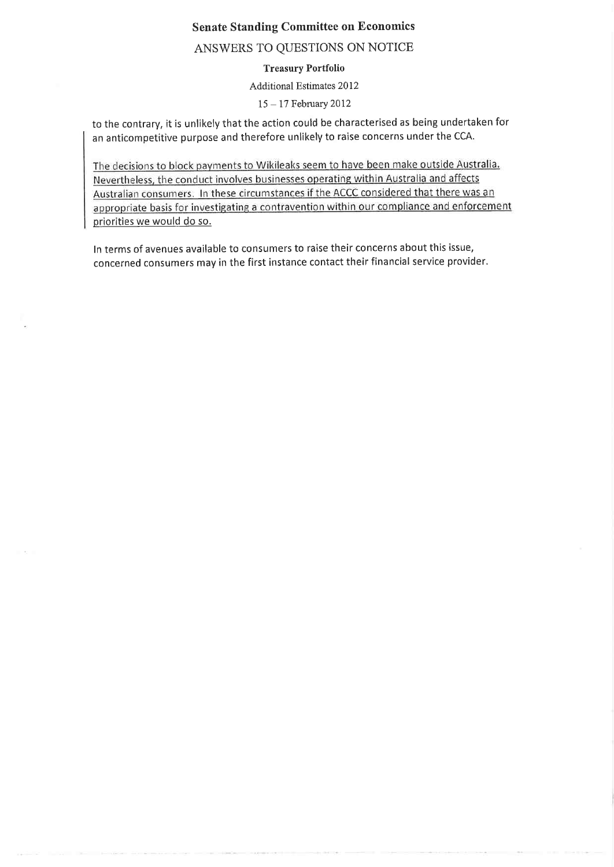## **Senate Standing Committee on Economics**

# ANSWERS TO QUESTIONS ON NOTICE

#### **Treasury Portfolio**

Additional Estimates 2012

#### <sup>15</sup>-17 February 2012

to the contrary, it is unlikely that the action could be characterised as being undertaken for an anticompetitive purpose and therefore unlikely to raise concerns under the CCA.

The decisions to block payments to Wikileaks seem to have been make outside Australia. Nevertheless, the conduct involves businesses operating within Australia and affects Australian consumers. In these circumstances if the ACCC considered that there was an appropriate basis for investigating a contravention within our compliance and enforcement priorities we would do so.

ln terms of avenues available to consumers to raise their concerns about this issue, concerned consumers may in the first instance contact their financial service provider.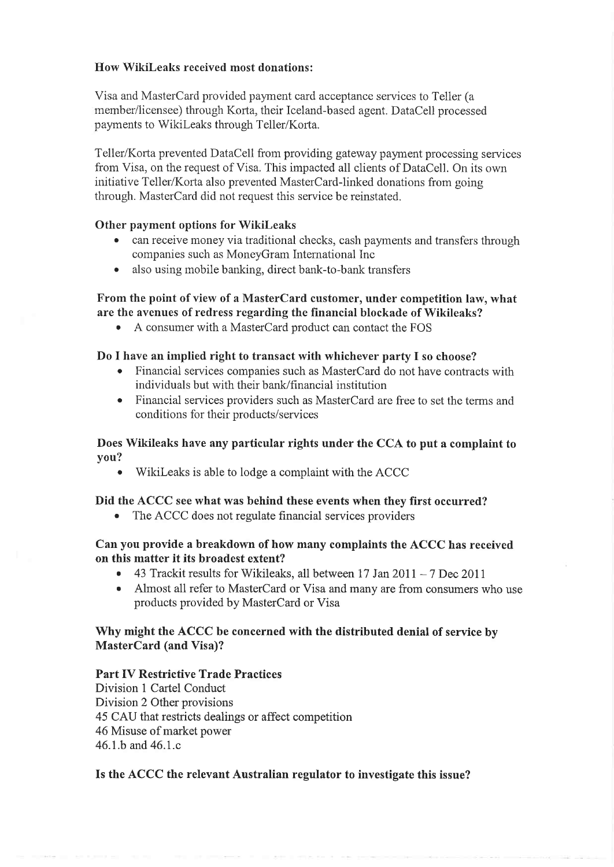# How Wikileaks received most donations:

Visa and MasterCard provided payment card acceptance services to Teller (a member/licensee) through Korta, their Iceland-based agent. DataCell processed payments to Wikileaks through Teller/Korta.

Teller/Korta prevented DataCell from providing gateway payment processing services from Visa, on the request of Visa, This impacted all clients of DataCell. On its own initiative Teller/Korta also prevented MasterCard-linked donations from going through. MasterCard did not request this service be reinstated.

## Other payment options for Wikileaks

- . can receive money via traditional checks, cash payments and transfers through companies such as MoneyGram International lnc
- also using mobile banking, direct bank-to-bank transfers

# From the point of view of a MasterCard customer, under competition law, what are the avenues of redress regarding the financial blockade of Wikileaks?

• A consumer with a MasterCard product can contact the FOS

## Do I have an implied right to transact with whichever party I so choose?

- o Financial services companies such as MasterCard do not have contracts with individuals but with their bank/financial institution
- . Financial services providers such as MasterCard are free to set the terms and conditions for their products/services

## Does Wikileaks have any particular rights under the CCA to put a complaint to you?

. Wikileaks is able to lodge a complaint with the ACCC

### Did the ACCC see what was behind these events when they first occurred?

. The ACCC does not regulate financial services providers

## Can you provide a breakdown of how many complaints the ACCC has received on this matter it its broadest extent?

- $\bullet$  43 Trackit results for Wikileaks, all between 17 Jan 2011 7 Dec 2011
- Almost all refer to MasterCard or Visa and many are from consumers who use products provided by MasterCard or Visa

## Why might the ACCC be concerned with the distributed denial of service by MasterCard (and Yisa)?

### Part IV Restrictive Trade Practices

Division 1 Cartel Conduct Division 2 Other provisions 45 CAU that restricts dealings or affect competition 46 Misuse of market power 46.7.b and 46.I.c

### Is the ACCC the relevant Australian regulator to investigate this issue?